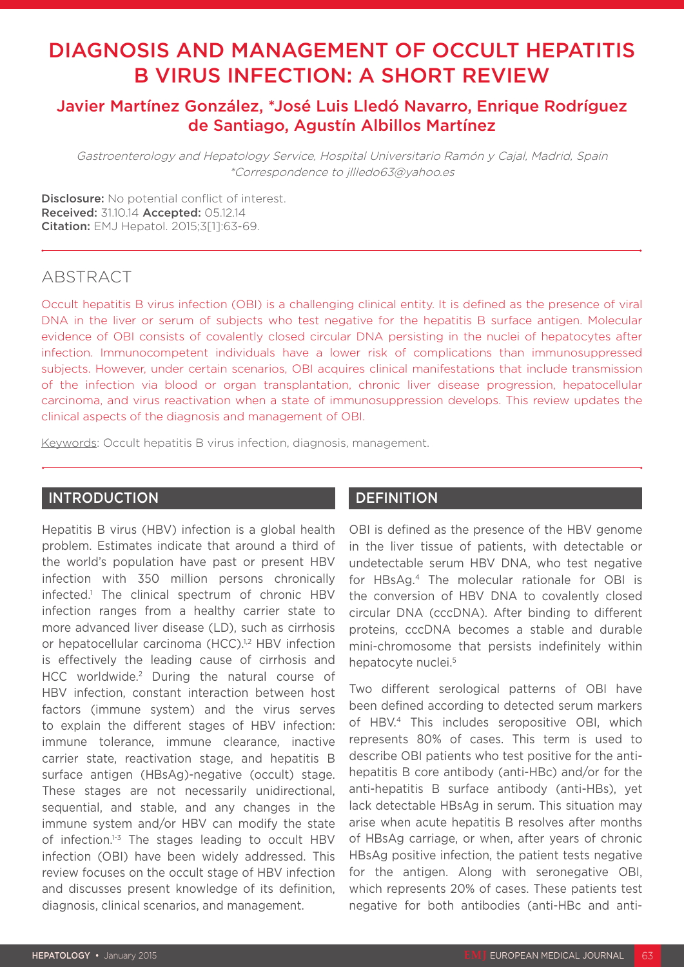# DIAGNOSIS AND MANAGEMENT OF OCCULT HEPATITIS B VIRUS INFECTION: A SHORT REVIEW

# Javier Martínez González, \*José Luis Lledó Navarro, Enrique Rodríguez de Santiago, Agustín Albillos Martínez

Gastroenterology and Hepatology Service, Hospital Universitario Ramón y Cajal, Madrid, Spain \*Correspondence to jllledo63@yahoo.es

Disclosure: No potential conflict of interest. Received: 31.10.14 Accepted: 05.12.14 Citation: EMJ Hepatol. 2015;3[1]:63-69.

# **ABSTRACT**

Occult hepatitis B virus infection (OBI) is a challenging clinical entity. It is defined as the presence of viral DNA in the liver or serum of subjects who test negative for the hepatitis B surface antigen. Molecular evidence of OBI consists of covalently closed circular DNA persisting in the nuclei of hepatocytes after infection. Immunocompetent individuals have a lower risk of complications than immunosuppressed subjects. However, under certain scenarios, OBI acquires clinical manifestations that include transmission of the infection via blood or organ transplantation, chronic liver disease progression, hepatocellular carcinoma, and virus reactivation when a state of immunosuppression develops. This review updates the clinical aspects of the diagnosis and management of OBI.

Keywords: Occult hepatitis B virus infection, diagnosis, management.

### **INTRODUCTION**

Hepatitis B virus (HBV) infection is a global health problem. Estimates indicate that around a third of the world's population have past or present HBV infection with 350 million persons chronically infected.1 The clinical spectrum of chronic HBV infection ranges from a healthy carrier state to more advanced liver disease (LD), such as cirrhosis or hepatocellular carcinoma (HCC).<sup>1,2</sup> HBV infection is effectively the leading cause of cirrhosis and HCC worldwide.2 During the natural course of HBV infection, constant interaction between host factors (immune system) and the virus serves to explain the different stages of HBV infection: immune tolerance, immune clearance, inactive carrier state, reactivation stage, and hepatitis B surface antigen (HBsAg)-negative (occult) stage. These stages are not necessarily unidirectional, sequential, and stable, and any changes in the immune system and/or HBV can modify the state of infection.<sup>1-3</sup> The stages leading to occult HBV infection (OBI) have been widely addressed. This review focuses on the occult stage of HBV infection and discusses present knowledge of its definition, diagnosis, clinical scenarios, and management.

### **DEFINITION**

OBI is defined as the presence of the HBV genome in the liver tissue of patients, with detectable or undetectable serum HBV DNA, who test negative for HBsAg.4 The molecular rationale for OBI is the conversion of HBV DNA to covalently closed circular DNA (cccDNA). After binding to different proteins, cccDNA becomes a stable and durable mini-chromosome that persists indefinitely within hepatocyte nuclei.<sup>5</sup>

Two different serological patterns of OBI have been defined according to detected serum markers of HBV.4 This includes seropositive OBI, which represents 80% of cases. This term is used to describe OBI patients who test positive for the antihepatitis B core antibody (anti-HBc) and/or for the anti-hepatitis B surface antibody (anti-HBs), yet lack detectable HBsAg in serum. This situation may arise when acute hepatitis B resolves after months of HBsAg carriage, or when, after years of chronic HBsAg positive infection, the patient tests negative for the antigen. Along with seronegative OBI, which represents 20% of cases. These patients test negative for both antibodies (anti-HBc and anti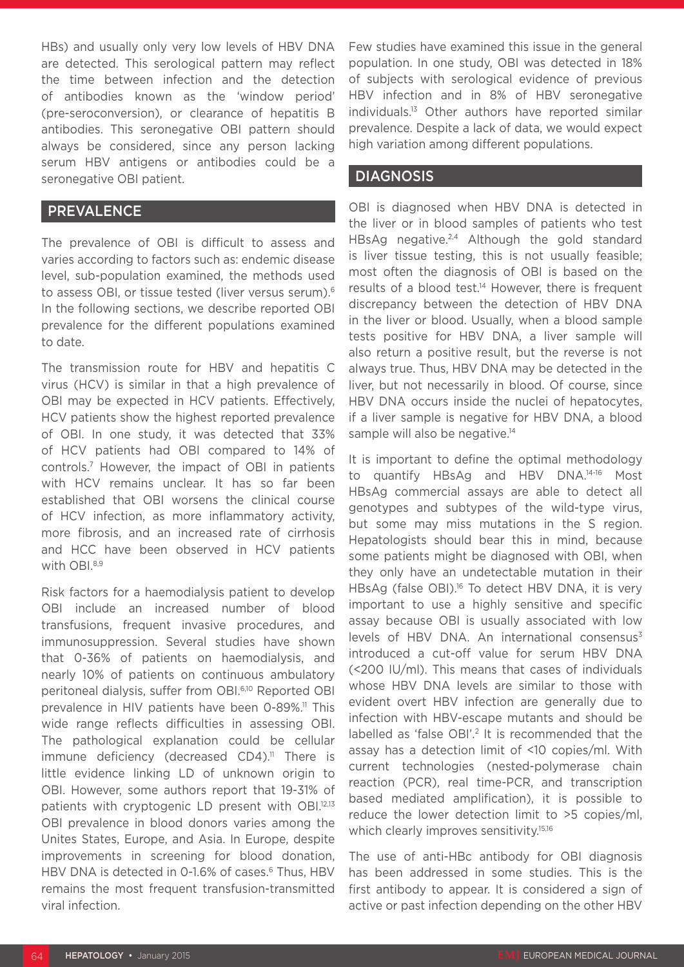HBs) and usually only very low levels of HBV DNA are detected. This serological pattern may reflect the time between infection and the detection of antibodies known as the 'window period' (pre-seroconversion), or clearance of hepatitis B antibodies. This seronegative OBI pattern should always be considered, since any person lacking serum HBV antigens or antibodies could be a seronegative OBI patient.

### PREVALENCE

The prevalence of OBI is difficult to assess and varies according to factors such as: endemic disease level, sub-population examined, the methods used to assess OBI, or tissue tested (liver versus serum).6 In the following sections, we describe reported OBI prevalence for the different populations examined to date.

The transmission route for HBV and hepatitis C virus (HCV) is similar in that a high prevalence of OBI may be expected in HCV patients. Effectively, HCV patients show the highest reported prevalence of OBI. In one study, it was detected that 33% of HCV patients had OBI compared to 14% of controls.7 However, the impact of OBI in patients with HCV remains unclear. It has so far been established that OBI worsens the clinical course of HCV infection, as more inflammatory activity, more fibrosis, and an increased rate of cirrhosis and HCC have been observed in HCV patients with OBI.<sup>8,9</sup>

Risk factors for a haemodialysis patient to develop OBI include an increased number of blood transfusions, frequent invasive procedures, and immunosuppression. Several studies have shown that 0-36% of patients on haemodialysis, and nearly 10% of patients on continuous ambulatory peritoneal dialysis, suffer from OBI.6,10 Reported OBI prevalence in HIV patients have been 0-89%.<sup>11</sup> This wide range reflects difficulties in assessing OBI. The pathological explanation could be cellular immune deficiency (decreased  $CD4$ ).<sup>11</sup> There is little evidence linking LD of unknown origin to OBI. However, some authors report that 19-31% of patients with cryptogenic LD present with OBI.12,13 OBI prevalence in blood donors varies among the Unites States, Europe, and Asia. In Europe, despite improvements in screening for blood donation, HBV DNA is detected in 0-1.6% of cases.<sup>6</sup> Thus, HBV remains the most frequent transfusion-transmitted viral infection.

Few studies have examined this issue in the general population. In one study, OBI was detected in 18% of subjects with serological evidence of previous HBV infection and in 8% of HBV seronegative individuals.13 Other authors have reported similar prevalence. Despite a lack of data, we would expect high variation among different populations.

### DIAGNOSIS

OBI is diagnosed when HBV DNA is detected in the liver or in blood samples of patients who test HBsAg negative.<sup>2,4</sup> Although the gold standard is liver tissue testing, this is not usually feasible; most often the diagnosis of OBI is based on the results of a blood test.<sup>14</sup> However, there is frequent discrepancy between the detection of HBV DNA in the liver or blood. Usually, when a blood sample tests positive for HBV DNA, a liver sample will also return a positive result, but the reverse is not always true. Thus, HBV DNA may be detected in the liver, but not necessarily in blood. Of course, since HBV DNA occurs inside the nuclei of hepatocytes, if a liver sample is negative for HBV DNA, a blood sample will also be negative.<sup>14</sup>

It is important to define the optimal methodology to quantify HBsAg and HBV DNA.14-16 Most HBsAg commercial assays are able to detect all genotypes and subtypes of the wild-type virus, but some may miss mutations in the S region. Hepatologists should bear this in mind, because some patients might be diagnosed with OBI, when they only have an undetectable mutation in their HBsAg (false OBI).<sup>16</sup> To detect HBV DNA, it is very important to use a highly sensitive and specific assay because OBI is usually associated with low levels of HBV DNA. An international consensus $3$ introduced a cut-off value for serum HBV DNA (<200 IU/ml). This means that cases of individuals whose HBV DNA levels are similar to those with evident overt HBV infection are generally due to infection with HBV-escape mutants and should be labelled as 'false OBI'.<sup>2</sup> It is recommended that the assay has a detection limit of <10 copies/ml. With current technologies (nested-polymerase chain reaction (PCR), real time-PCR, and transcription based mediated amplification), it is possible to reduce the lower detection limit to >5 copies/ml, which clearly improves sensitivity.<sup>15,16</sup>

The use of anti-HBc antibody for OBI diagnosis has been addressed in some studies. This is the first antibody to appear. It is considered a sign of active or past infection depending on the other HBV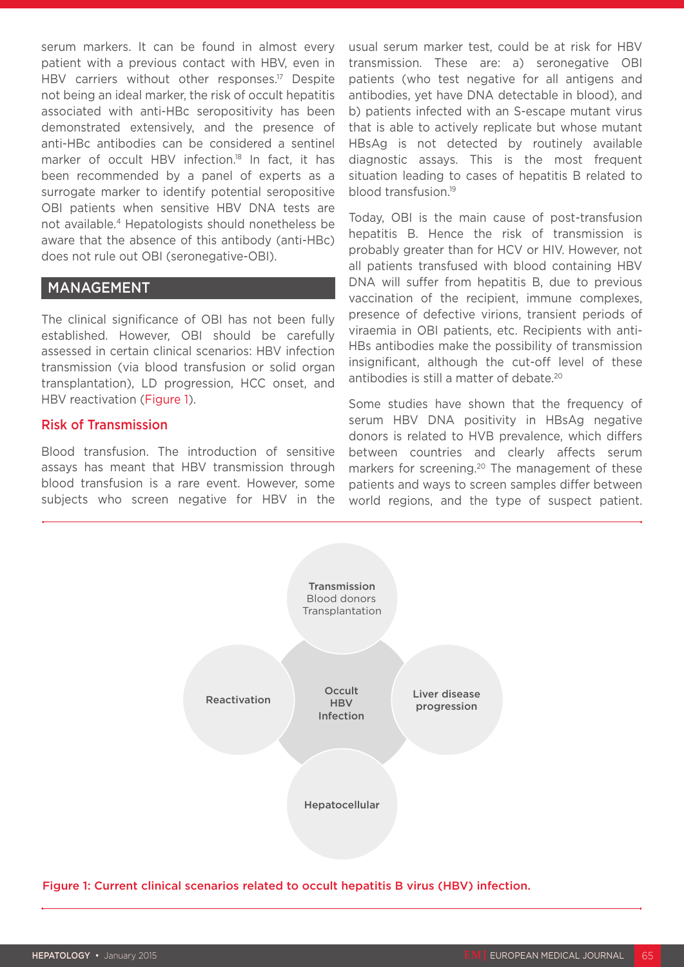serum markers. It can be found in almost every patient with a previous contact with HBV, even in HBV carriers without other responses.<sup>17</sup> Despite not being an ideal marker, the risk of occult hepatitis associated with anti-HBc seropositivity has been demonstrated extensively, and the presence of anti-HBc antibodies can be considered a sentinel marker of occult HBV infection.<sup>18</sup> In fact, it has been recommended by a panel of experts as a surrogate marker to identify potential seropositive OBI patients when sensitive HBV DNA tests are not available.4 Hepatologists should nonetheless be aware that the absence of this antibody (anti-HBc) does not rule out OBI (seronegative-OBI).

#### MANAGEMENT

The clinical significance of OBI has not been fully established. However, OBI should be carefully assessed in certain clinical scenarios: HBV infection transmission (via blood transfusion or solid organ transplantation), LD progression, HCC onset, and HBV reactivation (Figure 1).

#### Risk of Transmission

Blood transfusion. The introduction of sensitive assays has meant that HBV transmission through blood transfusion is a rare event. However, some subjects who screen negative for HBV in the usual serum marker test, could be at risk for HBV transmission. These are: a) seronegative OBI patients (who test negative for all antigens and antibodies, yet have DNA detectable in blood), and b) patients infected with an S-escape mutant virus that is able to actively replicate but whose mutant HBsAg is not detected by routinely available diagnostic assays. This is the most frequent situation leading to cases of hepatitis B related to blood transfusion.19

Today, OBI is the main cause of post-transfusion hepatitis B. Hence the risk of transmission is probably greater than for HCV or HIV. However, not all patients transfused with blood containing HBV DNA will suffer from hepatitis B, due to previous vaccination of the recipient, immune complexes, presence of defective virions, transient periods of viraemia in OBI patients, etc. Recipients with anti-HBs antibodies make the possibility of transmission insignificant, although the cut-off level of these antibodies is still a matter of debate.<sup>20</sup>

Some studies have shown that the frequency of serum HBV DNA positivity in HBsAg negative donors is related to HVB prevalence, which differs between countries and clearly affects serum markers for screening.<sup>20</sup> The management of these patients and ways to screen samples differ between world regions, and the type of suspect patient.



Figure 1: Current clinical scenarios related to occult hepatitis B virus (HBV) infection.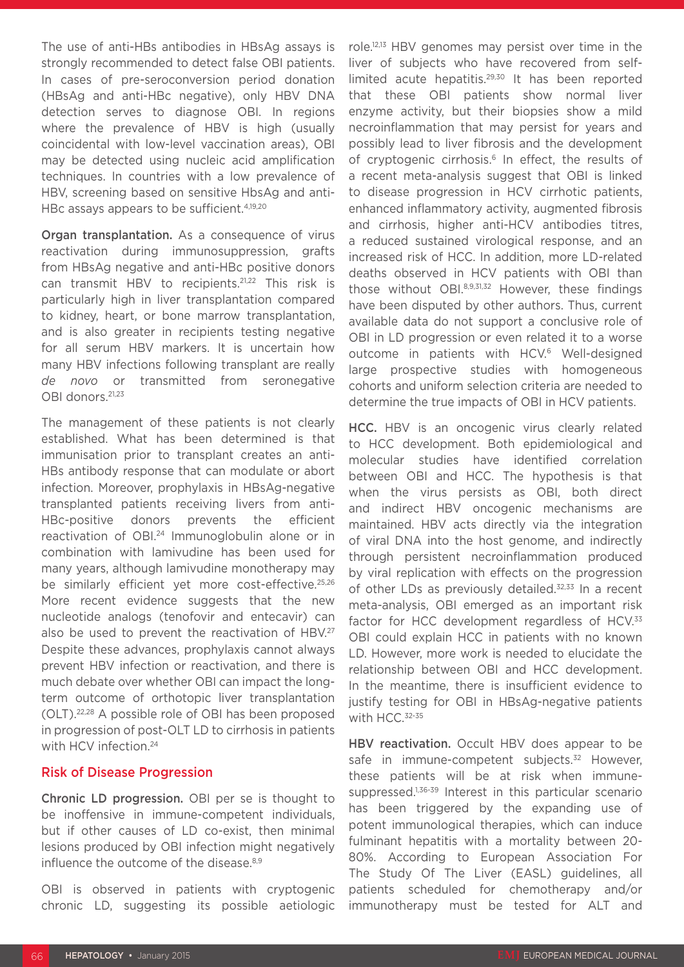The use of anti-HBs antibodies in HBsAg assays is strongly recommended to detect false OBI patients. In cases of pre-seroconversion period donation (HBsAg and anti-HBc negative), only HBV DNA detection serves to diagnose OBI. In regions where the prevalence of HBV is high (usually coincidental with low-level vaccination areas), OBI may be detected using nucleic acid amplification techniques. In countries with a low prevalence of HBV, screening based on sensitive HbsAg and anti-HBc assays appears to be sufficient.<sup>4,19,20</sup>

Organ transplantation. As a consequence of virus reactivation during immunosuppression, grafts from HBsAg negative and anti-HBc positive donors can transmit HBV to recipients.<sup>21,22</sup> This risk is particularly high in liver transplantation compared to kidney, heart, or bone marrow transplantation, and is also greater in recipients testing negative for all serum HBV markers. It is uncertain how many HBV infections following transplant are really *de novo* or transmitted from seronegative OBI donors.21,23

The management of these patients is not clearly established. What has been determined is that immunisation prior to transplant creates an anti-HBs antibody response that can modulate or abort infection. Moreover, prophylaxis in HBsAg-negative transplanted patients receiving livers from anti-HBc-positive donors prevents the efficient reactivation of OBI.<sup>24</sup> Immunoglobulin alone or in combination with lamivudine has been used for many years, although lamivudine monotherapy may be similarly efficient yet more cost-effective.25,26 More recent evidence suggests that the new nucleotide analogs (tenofovir and entecavir) can also be used to prevent the reactivation of HBV.<sup>27</sup> Despite these advances, prophylaxis cannot always prevent HBV infection or reactivation, and there is much debate over whether OBI can impact the longterm outcome of orthotopic liver transplantation (OLT).22,28 A possible role of OBI has been proposed in progression of post-OLT LD to cirrhosis in patients with HCV infection.<sup>24</sup>

#### Risk of Disease Progression

Chronic LD progression. OBI per se is thought to be inoffensive in immune-competent individuals, but if other causes of LD co-exist, then minimal lesions produced by OBI infection might negatively influence the outcome of the disease.<sup>8,9</sup>

OBI is observed in patients with cryptogenic chronic LD, suggesting its possible aetiologic role.12,13 HBV genomes may persist over time in the liver of subjects who have recovered from selflimited acute hepatitis.<sup>29,30</sup> It has been reported that these OBI patients show normal liver enzyme activity, but their biopsies show a mild necroinflammation that may persist for years and possibly lead to liver fibrosis and the development of cryptogenic cirrhosis.<sup>6</sup> In effect, the results of a recent meta-analysis suggest that OBI is linked to disease progression in HCV cirrhotic patients, enhanced inflammatory activity, augmented fibrosis and cirrhosis, higher anti-HCV antibodies titres, a reduced sustained virological response, and an increased risk of HCC. In addition, more LD-related deaths observed in HCV patients with OBI than those without OBI.8,9,31,32 However, these findings have been disputed by other authors. Thus, current available data do not support a conclusive role of OBI in LD progression or even related it to a worse outcome in patients with HCV.<sup>6</sup> Well-designed large prospective studies with homogeneous cohorts and uniform selection criteria are needed to determine the true impacts of OBI in HCV patients.

HCC. HBV is an oncogenic virus clearly related to HCC development. Both epidemiological and molecular studies have identified correlation between OBI and HCC. The hypothesis is that when the virus persists as OBI, both direct and indirect HBV oncogenic mechanisms are maintained. HBV acts directly via the integration of viral DNA into the host genome, and indirectly through persistent necroinflammation produced by viral replication with effects on the progression of other LDs as previously detailed.<sup>32,33</sup> In a recent meta-analysis, OBI emerged as an important risk factor for HCC development regardless of HCV.<sup>33</sup> OBI could explain HCC in patients with no known LD. However, more work is needed to elucidate the relationship between OBI and HCC development. In the meantime, there is insufficient evidence to justify testing for OBI in HBsAg-negative patients with HCC.<sup>32-35</sup>

HBV reactivation. Occult HBV does appear to be safe in immune-competent subjects.<sup>32</sup> However, these patients will be at risk when immunesuppressed.<sup>1,36-39</sup> Interest in this particular scenario has been triggered by the expanding use of potent immunological therapies, which can induce fulminant hepatitis with a mortality between 20- 80%. According to European Association For The Study Of The Liver (EASL) guidelines, all patients scheduled for chemotherapy and/or immunotherapy must be tested for ALT and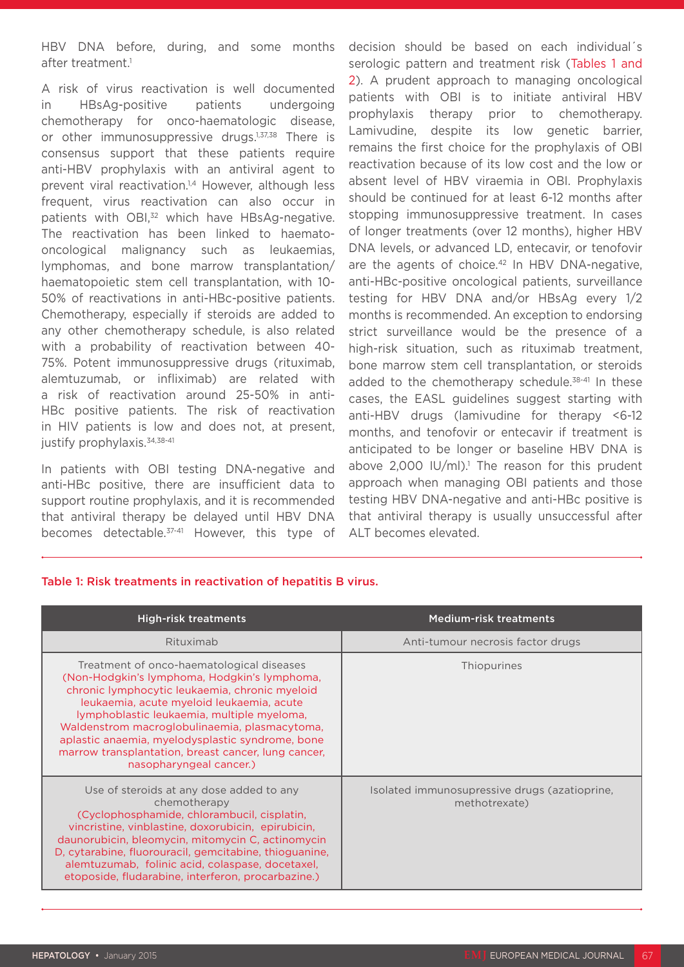HBV DNA before, during, and some months after treatment.<sup>1</sup>

A risk of virus reactivation is well documented in HBsAg-positive patients undergoing chemotherapy for onco-haematologic disease, or other immunosuppressive drugs.<sup>1,37,38</sup> There is consensus support that these patients require anti-HBV prophylaxis with an antiviral agent to prevent viral reactivation.<sup>1,4</sup> However, although less frequent, virus reactivation can also occur in patients with OBI,<sup>32</sup> which have HBsAg-negative. The reactivation has been linked to haematooncological malignancy such as leukaemias, lymphomas, and bone marrow transplantation/ haematopoietic stem cell transplantation, with 10- 50% of reactivations in anti-HBc-positive patients. Chemotherapy, especially if steroids are added to any other chemotherapy schedule, is also related with a probability of reactivation between 40- 75%. Potent immunosuppressive drugs (rituximab, alemtuzumab, or infliximab) are related with a risk of reactivation around 25-50% in anti-HBc positive patients. The risk of reactivation in HIV patients is low and does not, at present, justify prophylaxis.34,38-41

In patients with OBI testing DNA-negative and anti-HBc positive, there are insufficient data to support routine prophylaxis, and it is recommended that antiviral therapy be delayed until HBV DNA becomes detectable.<sup>37-41</sup> However, this type of decision should be based on each individual´s serologic pattern and treatment risk (Tables 1 and 2). A prudent approach to managing oncological patients with OBI is to initiate antiviral HBV prophylaxis therapy prior to chemotherapy. Lamivudine, despite its low genetic barrier, remains the first choice for the prophylaxis of OBI reactivation because of its low cost and the low or absent level of HBV viraemia in OBI. Prophylaxis should be continued for at least 6-12 months after stopping immunosuppressive treatment. In cases of longer treatments (over 12 months), higher HBV DNA levels, or advanced LD, entecavir, or tenofovir are the agents of choice.<sup>42</sup> In HBV DNA-negative, anti-HBc-positive oncological patients, surveillance testing for HBV DNA and/or HBsAg every 1/2 months is recommended. An exception to endorsing strict surveillance would be the presence of a high-risk situation, such as rituximab treatment, bone marrow stem cell transplantation, or steroids added to the chemotherapy schedule.<sup>38-41</sup> In these cases, the EASL guidelines suggest starting with anti-HBV drugs (lamivudine for therapy <6-12 months, and tenofovir or entecavir if treatment is anticipated to be longer or baseline HBV DNA is above  $2,000$  IU/mI).<sup>1</sup> The reason for this prudent approach when managing OBI patients and those testing HBV DNA-negative and anti-HBc positive is that antiviral therapy is usually unsuccessful after ALT becomes elevated.

#### Table 1: Risk treatments in reactivation of hepatitis B virus.

| <b>High-risk treatments</b>                                                                                                                                                                                                                                                                                                                                                                                                   | <b>Medium-risk treatments</b>                                  |  |
|-------------------------------------------------------------------------------------------------------------------------------------------------------------------------------------------------------------------------------------------------------------------------------------------------------------------------------------------------------------------------------------------------------------------------------|----------------------------------------------------------------|--|
| Rituximab                                                                                                                                                                                                                                                                                                                                                                                                                     | Anti-tumour necrosis factor drugs                              |  |
| Treatment of onco-haematological diseases<br>(Non-Hodgkin's lymphoma, Hodgkin's lymphoma,<br>chronic lymphocytic leukaemia, chronic myeloid<br>leukaemia, acute myeloid leukaemia, acute<br>lymphoblastic leukaemia, multiple myeloma,<br>Waldenstrom macroglobulinaemia, plasmacytoma,<br>aplastic anaemia, myelodysplastic syndrome, bone<br>marrow transplantation, breast cancer, lung cancer,<br>nasopharyngeal cancer.) | Thiopurines                                                    |  |
| Use of steroids at any dose added to any<br>chemotherapy<br>(Cyclophosphamide, chlorambucil, cisplatin,<br>vincristine, vinblastine, doxorubicin, epirubicin,<br>daunorubicin, bleomycin, mitomycin C, actinomycin<br>D, cytarabine, fluorouracil, gemcitabine, thioguanine,<br>alemtuzumab, folinic acid, colaspase, docetaxel,<br>etoposide, fludarabine, interferon, procarbazine.)                                        | Isolated immunosupressive drugs (azatioprine,<br>methotrexate) |  |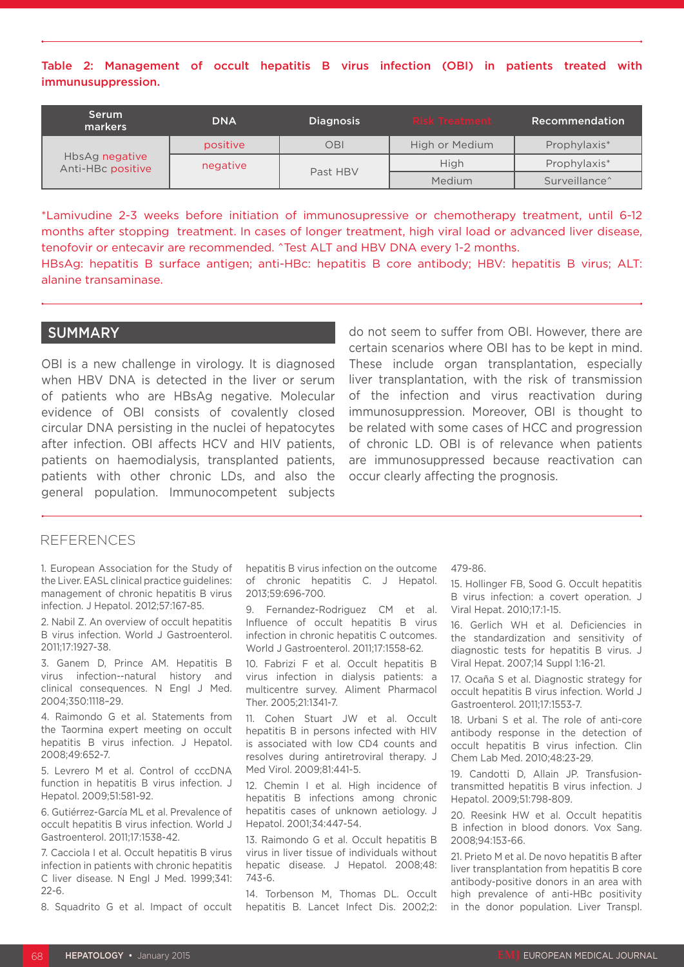Table 2: Management of occult hepatitis B virus infection (OBI) in patients treated with immunusuppression.

| 'Serum.<br>markers                  | <b>DNA</b> | <b>Diagnosis</b> | <b>Risk Treatment</b> | Recommendation            |
|-------------------------------------|------------|------------------|-----------------------|---------------------------|
| HbsAg negative<br>Anti-HBc positive | positive   | OBI              | High or Medium        | Prophylaxis*              |
|                                     | negative   | Past HBV         | High                  | Prophylaxis*              |
|                                     |            |                  | Medium                | Surveillance <sup>^</sup> |

\*Lamivudine 2-3 weeks before initiation of immunosupressive or chemotherapy treatment, until 6-12 months after stopping treatment. In cases of longer treatment, high viral load or advanced liver disease, tenofovir or entecavir are recommended. ^Test ALT and HBV DNA every 1-2 months.

HBsAg: hepatitis B surface antigen; anti-HBc: hepatitis B core antibody; HBV: hepatitis B virus; ALT: alanine transaminase.

#### **SUMMARY**

OBI is a new challenge in virology. It is diagnosed when HBV DNA is detected in the liver or serum of patients who are HBsAg negative. Molecular evidence of OBI consists of covalently closed circular DNA persisting in the nuclei of hepatocytes after infection. OBI affects HCV and HIV patients, patients on haemodialysis, transplanted patients, patients with other chronic LDs, and also the general population. Immunocompetent subjects

do not seem to suffer from OBI. However, there are certain scenarios where OBI has to be kept in mind. These include organ transplantation, especially liver transplantation, with the risk of transmission of the infection and virus reactivation during immunosuppression. Moreover, OBI is thought to be related with some cases of HCC and progression of chronic LD. OBI is of relevance when patients are immunosuppressed because reactivation can occur clearly affecting the prognosis.

#### REFERENCES

1. European Association for the Study of the Liver. EASL clinical practice guidelines: management of chronic hepatitis B virus infection. J Hepatol. 2012;57:167-85.

2. Nabil Z. An overview of occult hepatitis B virus infection. World J Gastroenterol. 2011;17:1927-38.

3. Ganem D, Prince AM. Hepatitis B virus infection--natural history and clinical consequences. N Engl J Med. 2004;350:1118–29.

4. Raimondo G et al. Statements from the Taormina expert meeting on occult hepatitis B virus infection. J Hepatol. 2008;49:652-7.

5. Levrero M et al. Control of cccDNA function in hepatitis B virus infection. J Hepatol. 2009;51:581-92.

6. Gutiérrez-García ML et al. Prevalence of occult hepatitis B virus infection. World J Gastroenterol. 2011;17:1538-42.

7. Cacciola I et al. Occult hepatitis B virus infection in patients with chronic hepatitis C liver disease. N Engl J Med. 1999;341: 22-6.

8. Squadrito G et al. Impact of occult

hepatitis B virus infection on the outcome of chronic hepatitis C. J Hepatol. 2013;59:696-700.

9. Fernandez-Rodriguez CM et al. Influence of occult hepatitis B virus infection in chronic hepatitis C outcomes. World J Gastroenterol. 2011;17:1558-62.

10. Fabrizi F et al. Occult hepatitis B virus infection in dialysis patients: a multicentre survey. Aliment Pharmacol Ther. 2005;21:1341-7.

11. Cohen Stuart JW et al. Occult hepatitis B in persons infected with HIV is associated with low CD4 counts and resolves during antiretroviral therapy. J Med Virol. 2009;81:441-5.

12. Chemin I et al. High incidence of hepatitis B infections among chronic hepatitis cases of unknown aetiology. J Hepatol. 2001;34:447-54.

13. Raimondo G et al. Occult hepatitis B virus in liver tissue of individuals without hepatic disease. J Hepatol. 2008;48: 743-6.

14. Torbenson M, Thomas DL. Occult hepatitis B. Lancet Infect Dis. 2002;2: 479-86.

15. Hollinger FB, Sood G. Occult hepatitis B virus infection: a covert operation. J Viral Hepat. 2010;17:1-15.

16. Gerlich WH et al. Deficiencies in the standardization and sensitivity of diagnostic tests for hepatitis B virus. J Viral Hepat. 2007;14 Suppl 1:16-21.

17. Ocaña S et al. Diagnostic strategy for occult hepatitis B virus infection. World J Gastroenterol. 2011;17:1553-7.

18. Urbani S et al. The role of anti-core antibody response in the detection of occult hepatitis B virus infection. Clin Chem Lab Med. 2010;48:23-29.

19. Candotti D, Allain JP. Transfusiontransmitted hepatitis B virus infection. J Hepatol. 2009;51:798-809.

20. Reesink HW et al. Occult hepatitis B infection in blood donors. Vox Sang. 2008;94:153-66.

21. Prieto M et al. De novo hepatitis B after liver transplantation from hepatitis B core antibody-positive donors in an area with high prevalence of anti-HBc positivity in the donor population. Liver Transpl.